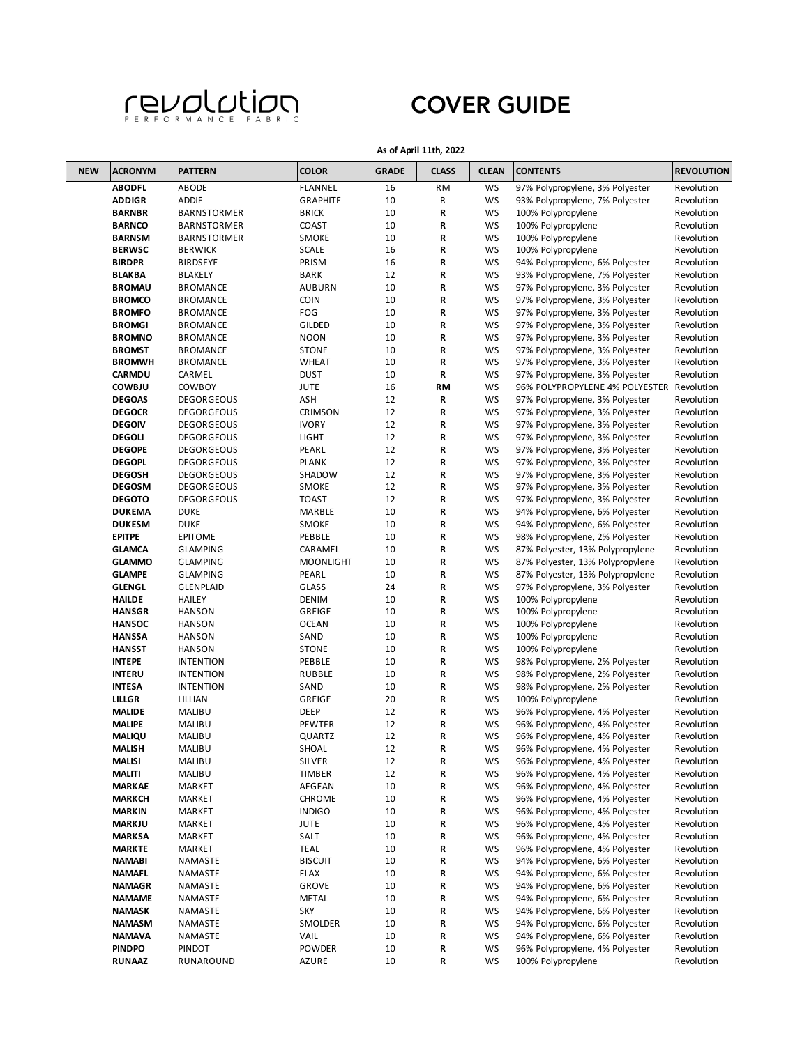

**As of April 11th, 2022**

| <b>NEW</b> | <b>ACRONYM</b>                 | <b>PATTERN</b>                     | <b>COLOR</b>              | <b>GRADE</b> | <b>CLASS</b> | <b>CLEAN</b> | <b>CONTENTS</b>                                                      | <b>REVOLUTION</b>        |
|------------|--------------------------------|------------------------------------|---------------------------|--------------|--------------|--------------|----------------------------------------------------------------------|--------------------------|
|            | <b>ABODFL</b>                  | ABODE                              | <b>FLANNEL</b>            | 16           | RM           | WS           | 97% Polypropylene, 3% Polyester                                      | Revolution               |
|            | <b>ADDIGR</b>                  | <b>ADDIE</b>                       | <b>GRAPHITE</b>           | 10           | R            | WS           | 93% Polypropylene, 7% Polyester                                      | Revolution               |
|            | <b>BARNBR</b>                  | BARNSTORMER                        | <b>BRICK</b>              | 10           | R            | WS           | 100% Polypropylene                                                   | Revolution               |
|            | <b>BARNCO</b>                  | <b>BARNSTORMER</b>                 | COAST                     | 10           | R            | WS           | 100% Polypropylene                                                   | Revolution               |
|            | <b>BARNSM</b>                  | <b>BARNSTORMER</b>                 | <b>SMOKE</b>              | 10           | R            | WS           | 100% Polypropylene                                                   | Revolution               |
|            | <b>BERWSC</b>                  | <b>BERWICK</b>                     | <b>SCALE</b>              | 16           | R            | WS           | 100% Polypropylene                                                   | Revolution               |
|            | <b>BIRDPR</b>                  | <b>BIRDSEYE</b>                    | PRISM                     | 16           | R            | WS           | 94% Polypropylene, 6% Polyester                                      | Revolution               |
|            | <b>BLAKBA</b>                  | <b>BLAKELY</b>                     | <b>BARK</b>               | 12           | R            | WS           | 93% Polypropylene, 7% Polyester                                      | Revolution               |
|            | <b>BROMAU</b>                  | <b>BROMANCE</b>                    | <b>AUBURN</b>             | 10           | R            | WS           | 97% Polypropylene, 3% Polyester                                      | Revolution               |
|            | <b>BROMCO</b>                  | <b>BROMANCE</b>                    | <b>COIN</b>               | 10           | R            | WS           | 97% Polypropylene, 3% Polyester                                      | Revolution               |
|            | <b>BROMFO</b><br><b>BROMGI</b> | <b>BROMANCE</b><br><b>BROMANCE</b> | FOG<br>GILDED             | 10<br>10     | R<br>R       | WS<br>WS     | 97% Polypropylene, 3% Polyester<br>97% Polypropylene, 3% Polyester   | Revolution<br>Revolution |
|            | <b>BROMNO</b>                  | <b>BROMANCE</b>                    | <b>NOON</b>               | 10           | R            | WS           | 97% Polypropylene, 3% Polyester                                      | Revolution               |
|            | <b>BROMST</b>                  | <b>BROMANCE</b>                    | <b>STONE</b>              | 10           | R            | WS           | 97% Polypropylene, 3% Polyester                                      | Revolution               |
|            | <b>BROMWH</b>                  | <b>BROMANCE</b>                    | <b>WHEAT</b>              | 10           | R            | WS           | 97% Polypropylene, 3% Polyester                                      | Revolution               |
|            | CARMDU                         | CARMEL                             | <b>DUST</b>               | 10           | R            | WS           | 97% Polypropylene, 3% Polyester                                      | Revolution               |
|            | <b>COWBJU</b>                  | <b>COWBOY</b>                      | <b>JUTE</b>               | 16           | RM           | WS           | 96% POLYPROPYLENE 4% POLYESTER                                       | Revolution               |
|            | <b>DEGOAS</b>                  | <b>DEGORGEOUS</b>                  | ASH                       | 12           | R            | WS           | 97% Polypropylene, 3% Polyester                                      | Revolution               |
|            | <b>DEGOCR</b>                  | <b>DEGORGEOUS</b>                  | <b>CRIMSON</b>            | 12           | R            | WS           | 97% Polypropylene, 3% Polyester                                      | Revolution               |
|            | <b>DEGOIV</b>                  | <b>DEGORGEOUS</b>                  | <b>IVORY</b>              | 12           | R            | WS           | 97% Polypropylene, 3% Polyester                                      | Revolution               |
|            | <b>DEGOLI</b>                  | <b>DEGORGEOUS</b>                  | <b>LIGHT</b>              | 12           | R            | WS           | 97% Polypropylene, 3% Polyester                                      | Revolution               |
|            | <b>DEGOPE</b>                  | <b>DEGORGEOUS</b>                  | PEARL                     | 12           | R            | WS           | 97% Polypropylene, 3% Polyester                                      | Revolution               |
|            | <b>DEGOPL</b>                  | <b>DEGORGEOUS</b>                  | <b>PLANK</b>              | 12           | R            | WS           | 97% Polypropylene, 3% Polyester                                      | Revolution               |
|            | <b>DEGOSH</b>                  | <b>DEGORGEOUS</b>                  | SHADOW                    | 12           | R            | WS           | 97% Polypropylene, 3% Polyester                                      | Revolution               |
|            | <b>DEGOSM</b>                  | <b>DEGORGEOUS</b>                  | <b>SMOKE</b>              | 12           | R            | WS           | 97% Polypropylene, 3% Polyester                                      | Revolution               |
|            | <b>DEGOTO</b>                  | <b>DEGORGEOUS</b>                  | <b>TOAST</b>              | 12           | R            | WS           | 97% Polypropylene, 3% Polyester                                      | Revolution               |
|            | <b>DUKEMA</b>                  | <b>DUKE</b>                        | MARBLE                    | 10           | R            | WS           | 94% Polypropylene, 6% Polyester                                      | Revolution               |
|            | <b>DUKESM</b>                  | <b>DUKE</b>                        | <b>SMOKE</b>              | 10           | R            | WS           | 94% Polypropylene, 6% Polyester                                      | Revolution               |
|            | <b>EPITPE</b>                  | <b>EPITOME</b>                     | PEBBLE                    | 10           | R            | WS           | 98% Polypropylene, 2% Polyester                                      | Revolution               |
|            | <b>GLAMCA</b>                  | GLAMPING                           | CARAMEL                   | 10           | R            | WS           | 87% Polyester, 13% Polypropylene                                     | Revolution               |
|            | <b>GLAMMO</b><br><b>GLAMPE</b> | <b>GLAMPING</b><br><b>GLAMPING</b> | <b>MOONLIGHT</b><br>PEARL | 10<br>10     | R<br>R       | WS<br>WS     | 87% Polyester, 13% Polypropylene<br>87% Polyester, 13% Polypropylene | Revolution<br>Revolution |
|            | <b>GLENGL</b>                  | <b>GLENPLAID</b>                   | <b>GLASS</b>              | 24           | R            | WS           | 97% Polypropylene, 3% Polyester                                      | Revolution               |
|            | <b>HAILDE</b>                  | HAILEY                             | <b>DENIM</b>              | 10           | R            | WS           | 100% Polypropylene                                                   | Revolution               |
|            | <b>HANSGR</b>                  | <b>HANSON</b>                      | GREIGE                    | 10           | R            | WS           | 100% Polypropylene                                                   | Revolution               |
|            | <b>HANSOC</b>                  | <b>HANSON</b>                      | <b>OCEAN</b>              | 10           | R            | WS           | 100% Polypropylene                                                   | Revolution               |
|            | <b>HANSSA</b>                  | <b>HANSON</b>                      | SAND                      | 10           | R            | WS           | 100% Polypropylene                                                   | Revolution               |
|            | <b>HANSST</b>                  | <b>HANSON</b>                      | <b>STONE</b>              | 10           | R            | WS           | 100% Polypropylene                                                   | Revolution               |
|            | <b>INTEPE</b>                  | <b>INTENTION</b>                   | PEBBLE                    | 10           | R            | WS           | 98% Polypropylene, 2% Polyester                                      | Revolution               |
|            | <b>INTERU</b>                  | <b>INTENTION</b>                   | <b>RUBBLE</b>             | 10           | R            | WS           | 98% Polypropylene, 2% Polyester                                      | Revolution               |
|            | <b>INTESA</b>                  | <b>INTENTION</b>                   | SAND                      | 10           | R            | WS           | 98% Polypropylene, 2% Polyester                                      | Revolution               |
|            | LILLGR                         | LILLIAN                            | GREIGE                    | 20           | R            | WS           | 100% Polypropylene                                                   | Revolution               |
|            | <b>MALIDE</b>                  | MALIBU                             | <b>DEEP</b>               | 12           | R            | WS           | 96% Polypropylene, 4% Polyester                                      | Revolution               |
|            | <b>MALIPE</b>                  | MALIBU                             | PEWTER                    | 12           | R            | WS           | 96% Polypropylene, 4% Polyester                                      | Revolution               |
|            | <b>MALIQU</b>                  | MALIBU                             | QUARTZ                    | 12           | R            | WS           | 96% Polypropylene, 4% Polyester                                      | Revolution               |
|            | <b>MALISH</b>                  | MALIBU                             | SHOAL                     | 12           | R            | WS           | 96% Polypropylene, 4% Polyester                                      | Revolution               |
|            | <b>MALISI</b>                  | MALIBU                             | SILVER                    | 12           | R            | WS           | 96% Polypropylene, 4% Polyester                                      | Revolution               |
|            | <b>MALITI</b>                  | MALIBU                             | <b>TIMBER</b>             | 12           | R            | WS           | 96% Polypropylene, 4% Polyester                                      | Revolution               |
|            | <b>MARKAE</b><br><b>MARKCH</b> | MARKET<br>MARKET                   | AEGEAN<br><b>CHROME</b>   | 10<br>10     | R<br>R       | WS<br>WS     | 96% Polypropylene, 4% Polyester<br>96% Polypropylene, 4% Polyester   | Revolution<br>Revolution |
|            | <b>MARKIN</b>                  | MARKET                             | <b>INDIGO</b>             | 10           | R            | WS           | 96% Polypropylene, 4% Polyester                                      | Revolution               |
|            | <b>MARKJU</b>                  | MARKET                             | <b>JUTE</b>               | 10           | R            | WS           | 96% Polypropylene, 4% Polyester                                      | Revolution               |
|            | <b>MARKSA</b>                  | MARKET                             | SALT                      | 10           | R            | WS           | 96% Polypropylene, 4% Polyester                                      | Revolution               |
|            | <b>MARKTE</b>                  | MARKET                             | TEAL                      | 10           | R            | WS           | 96% Polypropylene, 4% Polyester                                      | Revolution               |
|            | <b>NAMABI</b>                  | NAMASTE                            | <b>BISCUIT</b>            | 10           | R            | WS           | 94% Polypropylene, 6% Polyester                                      | Revolution               |
|            | <b>NAMAFL</b>                  | NAMASTE                            | <b>FLAX</b>               | 10           | R            | WS           | 94% Polypropylene, 6% Polyester                                      | Revolution               |
|            | <b>NAMAGR</b>                  | NAMASTE                            | <b>GROVE</b>              | 10           | R            | WS           | 94% Polypropylene, 6% Polyester                                      | Revolution               |
|            | <b>NAMAME</b>                  | NAMASTE                            | <b>METAL</b>              | 10           | R            | WS           | 94% Polypropylene, 6% Polyester                                      | Revolution               |
|            | <b>NAMASK</b>                  | NAMASTE                            | SKY                       | 10           | R            | WS           | 94% Polypropylene, 6% Polyester                                      | Revolution               |
|            | <b>NAMASM</b>                  | NAMASTE                            | SMOLDER                   | 10           | R            | WS           | 94% Polypropylene, 6% Polyester                                      | Revolution               |
|            | <b>NAMAVA</b>                  | NAMASTE                            | VAIL                      | 10           | R            | WS           | 94% Polypropylene, 6% Polyester                                      | Revolution               |
|            | <b>PINDPO</b>                  | PINDOT                             | <b>POWDER</b>             | 10           | R            | WS           | 96% Polypropylene, 4% Polyester                                      | Revolution               |
|            | <b>RUNAAZ</b>                  | RUNAROUND                          | AZURE                     | 10           | R            | WS           | 100% Polypropylene                                                   | Revolution               |